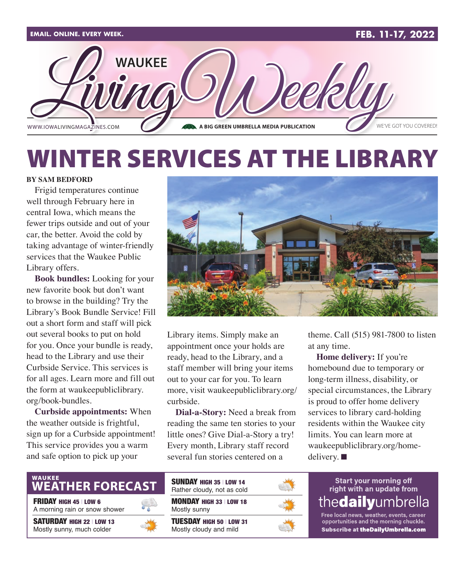

## WINTER SERVICES AT THE LIBRARY

#### **BY SAM BEDFORD**

Frigid temperatures continue well through February here in central Iowa, which means the fewer trips outside and out of your car, the better. Avoid the cold by taking advantage of winter-friendly services that the Waukee Public Library offers.

**Book bundles:** Looking for your new favorite book but don't want to browse in the building? Try the Library's Book Bundle Service! Fill out a short form and staff will pick out several books to put on hold for you. Once your bundle is ready, head to the Library and use their Curbside Service. This services is for all ages. Learn more and fill out the form at [waukeepubliclibrary.](http://waukeepubliclibrary.org/book-bundles) [org/book-bundles.](http://waukeepubliclibrary.org/book-bundles)

**Curbside appointments:** When the weather outside is frightful, sign up for a Curbside appointment! This service provides you a warm and safe option to pick up your



Library items. Simply make an appointment once your holds are ready, head to the Library, and a staff member will bring your items out to your car for you. To learn more, visit [waukeepubliclibrary.org/](http://waukeepubliclibrary.org/curbside) [curbside.](http://waukeepubliclibrary.org/curbside)

**Dial-a-Story:** Need a break from reading the same ten stories to your little ones? Give Dial-a-Story a try! Every month, Library staff record several fun stories centered on a

theme. Call (515) 981-7800 to listen at any time.

**Home delivery:** If you're homebound due to temporary or long-term illness, disability, or special circumstances, the Library is proud to offer home delivery services to library card-holding residents within the Waukee city limits. You can learn more at [waukeepubliclibrary.org/home](http://waukeepubliclibrary.org/home-delivery)[delivery](http://waukeepubliclibrary.org/home-delivery).  $\blacksquare$ 

### **WEATHER FORECAST**

FRIDAY HIGH 45 | LOW 6

A morning rain or snow shower

SATURDAY HIGH 22 | LOW 13 Mostly sunny, much colder



| <b>SUNDAY HIGH 35   LOW 14</b><br>Rather cloudy, not as cold |  |
|--------------------------------------------------------------|--|
| MONDAY HIGH 33   LOW 18<br>Mostly sunny                      |  |
| <b>TUESDAY HIGH 50   LOW 31</b><br>Mostly cloudy and mild    |  |



#### **Start your morning off** right with an update from the**dailv**umbrel

Free local news, weather, events, career opportunities and the morning chuckle. Subscribe at theDailyUmbrella.com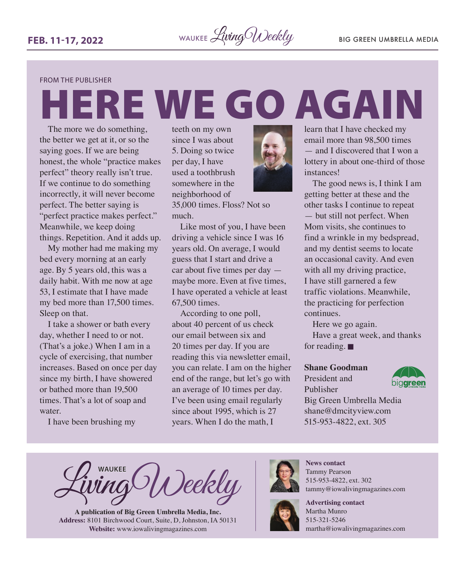#### FROM THE PUBLISHER

# HERE WE GO AGAIN

The more we do something, the better we get at it, or so the saying goes. If we are being honest, the whole "practice makes perfect" theory really isn't true. If we continue to do something incorrectly, it will never become perfect. The better saying is "perfect practice makes perfect." Meanwhile, we keep doing things. Repetition. And it adds up.

My mother had me making my bed every morning at an early age. By 5 years old, this was a daily habit. With me now at age 53, I estimate that I have made my bed more than 17,500 times. Sleep on that.

I take a shower or bath every day, whether I need to or not. (That's a joke.) When I am in a cycle of exercising, that number increases. Based on once per day since my birth, I have showered or bathed more than 19,500 times. That's a lot of soap and water.

I have been brushing my

teeth on my own since I was about 5. Doing so twice per day, I have used a toothbrush somewhere in the neighborhood of

35,000 times. Floss? Not so much.

Like most of you, I have been driving a vehicle since I was 16 years old. On average, I would guess that I start and drive a car about five times per day maybe more. Even at five times, I have operated a vehicle at least 67,500 times.

According to one poll, about 40 percent of us check our email between six and 20 times per day. If you are reading this via newsletter email, you can relate. I am on the higher end of the range, but let's go with an average of 10 times per day. I've been using email regularly since about 1995, which is 27 years. When I do the math, I



learn that I have checked my email more than 98,500 times — and I discovered that I won a lottery in about one-third of those instances!

The good news is, I think I am getting better at these and the other tasks I continue to repeat — but still not perfect. When Mom visits, she continues to find a wrinkle in my bedspread, and my dentist seems to locate an occasional cavity. And even with all my driving practice, I have still garnered a few traffic violations. Meanwhile, the practicing for perfection continues.

Here we go again.

Have a great week, and thanks for reading.  $\blacksquare$ 

#### **Shane Goodman**

President and Publisher



Big Green Umbrella Media [shane@dmcityview.com](mailto:shane@dmcityview.com) 515-953-4822, ext. 305

**WAUKEE** Deekly

**A publication of Big Green Umbrella Media, Inc. Address:** 8101 Birchwood Court, Suite, D, Johnston, IA 50131 **Website:** [www.iowalivingmagazines.com](http://www.iowalivingmagazines.com)



**News contact** Tammy Pearson 515-953-4822, ext. 302 [tammy@iowalivingmagazines.com](mailto:tammy@iowalivingmagazines.com)



**Advertising contact** Martha Munro 515-321-5246 [martha@iowalivingmagazines.com](mailto:martha@iowalivingmagazines.com)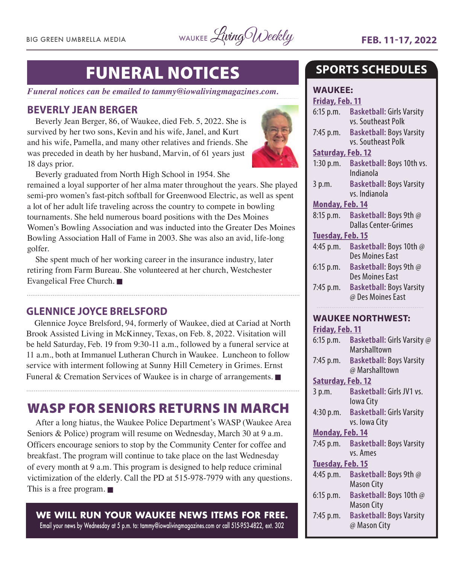BIG GREEN UMBRELLA MEDIA WAUKEE Living Weekly **FEB. 11-17, 2022** 

### FUNERAL NOTICES

*Funeral notices can be emailed to [tammy@iowalivingmagazines.com.](mailto:tammy@iowalivingmagazines.com)*

#### **BEVERLY JEAN BERGER**

Beverly Jean Berger, 86, of Waukee, died Feb. 5, 2022. She is survived by her two sons, Kevin and his wife, Janel, and Kurt and his wife, Pamella, and many other relatives and friends. She was preceded in death by her husband, Marvin, of 61 years just 18 days prior.



Beverly graduated from North High School in 1954. She

remained a loyal supporter of her alma mater throughout the years. She played semi-pro women's fast-pitch softball for Greenwood Electric, as well as spent a lot of her adult life traveling across the country to compete in bowling tournaments. She held numerous board positions with the Des Moines Women's Bowling Association and was inducted into the Greater Des Moines Bowling Association Hall of Fame in 2003. She was also an avid, life-long golfer.

She spent much of her working career in the insurance industry, later retiring from Farm Bureau. She volunteered at her church, Westchester Evangelical Free Church.  $\blacksquare$ 

#### **GLENNICE JOYCE BRELSFORD**

Glennice Joyce Brelsford, 94, formerly of Waukee, died at Cariad at North Brook Assisted Living in McKinney, Texas, on Feb. 8, 2022. Visitation will be held Saturday, Feb. 19 from 9:30-11 a.m., followed by a funeral service at 11 a.m., both at Immanuel Lutheran Church in Waukee. Luncheon to follow service with interment following at Sunny Hill Cemetery in Grimes. Ernst Funeral & Cremation Services of Waukee is in charge of arrangements.  $\blacksquare$ 

### WASP FOR SENIORS RETURNS IN MARCH

After a long hiatus, the Waukee Police Department's WASP (Waukee Area Seniors & Police) program will resume on Wednesday, March 30 at 9 a.m. Officers encourage seniors to stop by the Community Center for coffee and breakfast. The program will continue to take place on the last Wednesday of every month at 9 a.m. This program is designed to help reduce criminal victimization of the elderly. Call the PD at 515-978-7979 with any questions. This is a free program.  $\blacksquare$ 

**WE WILL RUN YOUR WAUKEE NEWS ITEMS FOR FREE.** Email your news by Wednesday at 5 p.m. to: [tammy@iowalivingmagazines.com](mailto:tammy@iowalivingmagazines.com) or call 515-953-4822, ext. 302

**SPORTS SCHEDULES**

**WAUKEE: Friday, Feb. 11** 6:15 p.m. **Basketball:** Girls Varsity vs. Southeast Polk 7:45 p.m. **Basketball:** Boys Varsity vs. Southeast Polk **Saturday, Feb. 12** 1:30 p.m. **Basketball:** Boys 10th vs. Indianola 3 p.m. **Basketball:** Boys Varsity vs. Indianola **Monday, Feb. 14** 8:15 p.m. **Basketball:** Boys 9th @ Dallas Center-Grimes **Tuesday, Feb. 15** 4:45 p.m. **Basketball:** Boys 10th @ Des Moines East 6:15 p.m. **Basketball:** Boys 9th @ Des Moines East 7:45 p.m. **Basketball:** Boys Varsity @ Des Moines East **WAUKEE NORTHWEST: Friday, Feb. 11** 6:15 p.m. **Basketball:** Girls Varsity @ Marshalltown 7:45 p.m. **Basketball:** Boys Varsity @ Marshalltown **Saturday, Feb. 12** 3 p.m. **Basketball:** Girls JV1 vs. Iowa City 4:30 p.m. **Basketball:** Girls Varsity vs. Iowa City **Monday, Feb. 14** 7:45 p.m. **Basketball:** Boys Varsity vs. Ames **Tuesday, Feb. 15** 4:45 p.m. **Basketball:** Boys 9th @ Mason City 6:15 p.m. **Basketball:** Boys 10th @ Mason City 7:45 p.m. **Basketball:** Boys Varsity @ Mason City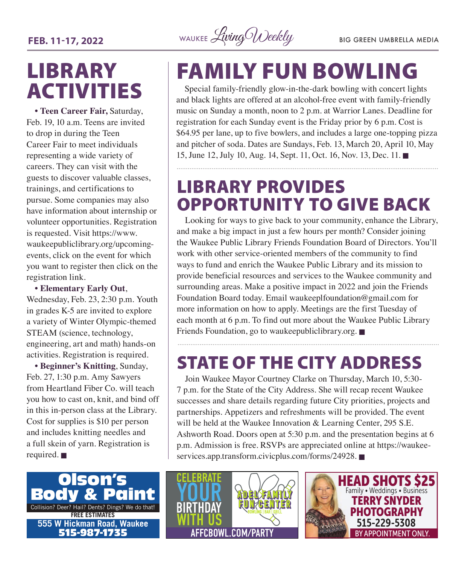**FEB. 11-17, 2022** WAUKEE *Living Weekly* BIG GREEN UMBRELLA MEDIA

### **LIBRARY** ACTIVITIES

**• Teen Career Fair,** Saturday, Feb. 19, 10 a.m. Teens are invited to drop in during the Teen Career Fair to meet individuals representing a wide variety of careers. They can visit with the guests to discover valuable classes, trainings, and certifications to pursue. Some companies may also have information about internship or volunteer opportunities. Registration is requested. Visit [https://www.](https://www.waukeepubliclibrary.org/upcoming-events) [waukeepubliclibrary.org/upcoming](https://www.waukeepubliclibrary.org/upcoming-events)[events,](https://www.waukeepubliclibrary.org/upcoming-events) click on the event for which you want to register then click on the registration link.

**• Elementary Early Out**, Wednesday, Feb. 23, 2:30 p.m. Youth in grades K-5 are invited to explore a variety of Winter Olympic-themed STEAM (science, technology, engineering, art and math) hands-on activities. Registration is required.

**• Beginner's Knitting**, Sunday, Feb. 27, 1:30 p.m. Amy Sawyers from Heartland Fiber Co. will teach you how to cast on, knit, and bind off in this in-person class at the Library. Cost for supplies is \$10 per person and includes knitting needles and a full skein of yarn. Registration is required.  $\blacksquare$ 

## FAMILY FUN BOWLING

Special family-friendly glow-in-the-dark bowling with concert lights and black lights are offered at an alcohol-free event with family-friendly music on Sunday a month, noon to 2 p.m. at Warrior Lanes. Deadline for registration for each Sunday event is the Friday prior by 6 p.m. Cost is \$64.95 per lane, up to five bowlers, and includes a large one-topping pizza and pitcher of soda. Dates are Sundays, Feb. 13, March 20, April 10, May 15, June 12, July 10, Aug. 14, Sept. 11, Oct. 16, Nov. 13, Dec. 11. n

### LIBRARY PROVIDES OPPORTUNITY TO GIVE BACK

Looking for ways to give back to your community, enhance the Library, and make a big impact in just a few hours per month? Consider joining the Waukee Public Library Friends Foundation Board of Directors. You'll work with other service-oriented members of the community to find ways to fund and enrich the Waukee Public Library and its mission to provide beneficial resources and services to the Waukee community and surrounding areas. Make a positive impact in 2022 and join the Friends Foundation Board today. Email [waukeeplfoundation@gmail.com](mailto:waukeeplfoundation@gmail.com) for more information on how to apply. Meetings are the first Tuesday of each month at 6 p.m. To find out more about the Waukee Public Library Friends Foundation, go to [waukeepubliclibrary.org.](http://waukeepubliclibrary.org)  $\blacksquare$ 

### STATE OF THE CITY ADDRESS

Join Waukee Mayor Courtney Clarke on Thursday, March 10, 5:30- 7 p.m. for the State of the City Address. She will recap recent Waukee successes and share details regarding future City priorities, projects and partnerships. Appetizers and refreshments will be provided. The event will be held at the Waukee Innovation & Learning Center, 295 S.E. Ashworth Road. Doors open at 5:30 p.m. and the presentation begins at 6 p.m. Admission is free. RSVPs are appreciated online at [https://waukee](https://waukee-services.app.transform.civicplus.com/forms/24928)[services.app.transform.civicplus.com/forms/24928](https://waukee-services.app.transform.civicplus.com/forms/24928).





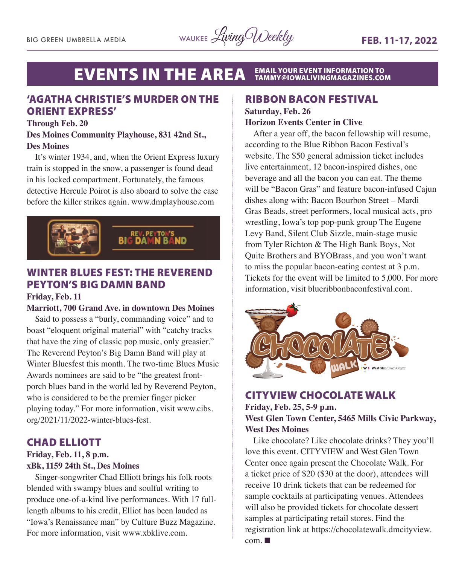#### **EVENTS IN THE AREA** EMAIL YOUR EVENT INFORMATION TO<br>[TAMMY@IOWALIVINGMAGAZINES.COM](mailto:tammy@iowalivingmagazines.com)

#### 'AGATHA CHRISTIE'S MURDER ON THE ORIENT EXPRESS'

#### **Through Feb. 20**

#### **Des Moines Community Playhouse, 831 42nd St., Des Moines**

It's winter 1934, and, when the Orient Express luxury train is stopped in the snow, a passenger is found dead in his locked compartment. Fortunately, the famous detective Hercule Poirot is also aboard to solve the case before the killer strikes again. [www.dmplayhouse.com](http://www.dmplayhouse.com)



### WINTER BLUES FEST: THE REVEREND PEYTON'S BIG DAMN BAND

#### **Friday, Feb. 11**

#### **Marriott, 700 Grand Ave. in downtown Des Moines**

Said to possess a "burly, commanding voice" and to boast "eloquent original material" with "catchy tracks that have the zing of classic pop music, only greasier." The Reverend Peyton's Big Damn Band will play at Winter Bluesfest this month. The two-time Blues Music Awards nominees are said to be "the greatest frontporch blues band in the world led by Reverend Peyton, who is considered to be the premier finger picker playing today." For more information, visit [www.cibs.](http://www.cibs.org/2021/11/2022-winter-blues-fest) [org/2021/11/2022-winter-blues-fest](http://www.cibs.org/2021/11/2022-winter-blues-fest).

#### CHAD ELLIOTT

#### **Friday, Feb. 11, 8 p.m. xBk, 1159 24th St., Des Moines**

Singer-songwriter Chad Elliott brings his folk roots blended with swampy blues and soulful writing to produce one-of-a-kind live performances. With 17 fulllength albums to his credit, Elliot has been lauded as "Iowa's Renaissance man" by Culture Buzz Magazine. For more information, visit [www.xbklive.com.](http://www.xbklive.com)

#### RIBBON BACON FESTIVAL

**Saturday, Feb. 26**

#### **Horizon Events Center in Clive**

After a year off, the bacon fellowship will resume, according to the Blue Ribbon Bacon Festival's website. The \$50 general admission ticket includes live entertainment, 12 bacon-inspired dishes, one beverage and all the bacon you can eat. The theme will be "Bacon Gras" and feature bacon-infused Cajun dishes along with: Bacon Bourbon Street – Mardi Gras Beads, street performers, local musical acts, pro wrestling, Iowa's top pop-punk group The Eugene Levy Band, Silent Club Sizzle, main-stage music from Tyler Richton & The High Bank Boys, Not Quite Brothers and BYOBrass, and you won't want to miss the popular bacon-eating contest at 3 p.m. Tickets for the event will be limited to 5,000. For more information, visit [blueribbonbaconfestival.com.](http://blueribbonbaconfestival.com)



#### CITYVIEW CHOCOLATE WALK **Friday, Feb. 25, 5-9 p.m. West Glen Town Center, 5465 Mills Civic Parkway, West Des Moines**

Like chocolate? Like chocolate drinks? They you'll love this event. CITYVIEW and West Glen Town Center once again present the Chocolate Walk. For a ticket price of \$20 (\$30 at the door), attendees will receive 10 drink tickets that can be redeemed for sample cocktails at participating venues. Attendees will also be provided tickets for chocolate dessert samples at participating retail stores. Find the registration link at [https://chocolatewalk.dmcityview.](https://chocolatewalk.dmcityview.com)  $com. \blacksquare$  $com. \blacksquare$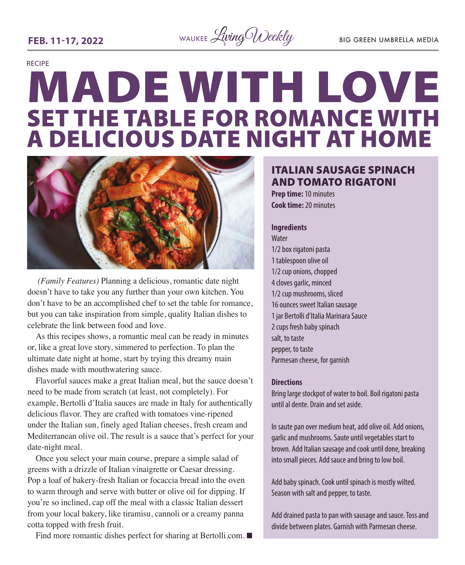**FEB. 11-17, 2022** WAUKEE *Living Weekly* BIG GREEN UMBRELLA MEDIA

## RECIPE **MADE WITH LOVE SET THE TABLE FOR ROMANCE WITH<br>A DELICIOUS DATE NIGHT AT HOME**



 *(Family Features)* Planning a delicious, romantic date night doesn't have to take you any further than your own kitchen. You don't have to be an accomplished chef to set the table for romance, but you can take inspiration from simple, quality Italian dishes to celebrate the link between food and love.

As this recipes shows, a romantic meal can be ready in minutes or, like a great love story, simmered to perfection. To plan the ultimate date night at home, start by trying this dreamy main dishes made with mouthwatering sauce.

Flavorful sauces make a great Italian meal, but the sauce doesn't need to be made from scratch (at least, not completely). For example, Bertolli d'Italia sauces are made in Italy for authentically delicious flavor. They are crafted with tomatoes vine-ripened under the Italian sun, finely aged Italian cheeses, fresh cream and Mediterranean olive oil. The result is a sauce that's perfect for your date-night meal.

Once you select your main course, prepare a simple salad of greens with a drizzle of Italian vinaigrette or Caesar dressing. Pop a loaf of bakery-fresh Italian or focaccia bread into the oven to warm through and serve with butter or olive oil for dipping. If you're so inclined, cap off the meal with a classic Italian dessert from your local bakery, like tiramisu, cannoli or a creamy panna cotta topped with fresh fruit.

Find more romantic dishes perfect for sharing at [Bertolli.com.](http://Bertolli.com)  $\blacksquare$ 

#### ITALIAN SAUSAGE SPINACH AND TOMATO RIGATONI

**Prep time:** 10 minutes **Cook time:** 20 minutes

#### **Ingredients**

Water 1/2 box rigatoni pasta 1 tablespoon olive oil 1/2 cup onions, chopped 4 cloves garlic, minced 1/2 cup mushrooms, sliced 16 ounces sweet Italian sausage 1 jar Bertolli d'Italia Marinara Sauce 2 cups fresh baby spinach salt, to taste pepper, to taste Parmesan cheese, for garnish

#### **Directions**

Bring large stockpot of water to boil. Boil rigatoni pasta until al dente. Drain and set aside.

In saute pan over medium heat, add olive oil. Add onions, garlic and mushrooms. Saute until vegetables start to brown. Add Italian sausage and cook until done, breaking into small pieces. Add sauce and bring to low boil.

Add baby spinach. Cook until spinach is mostly wilted. Season with salt and pepper, to taste.

Add drained pasta to pan with sausage and sauce. Toss and divide between plates. Garnish with Parmesan cheese.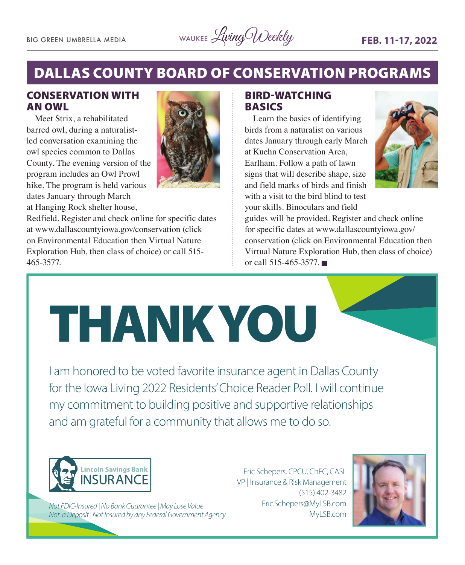

### DALLAS COUNTY BOARD OF CONSERVATION PROGRAMS

#### CONSERVATION WITH AN OWL

Meet Strix, a rehabilitated barred owl, during a naturalistled conversation examining the owl species common to Dallas County. The evening version of the program includes an Owl Prowl hike. The program is held various dates January through March at Hanging Rock shelter house,



Redfield. Register and check online for specific dates at [www.dallascountyiowa.gov/conservation](http://www.dallascountyiowa.gov/conservation) (click on Environmental Education then Virtual Nature Exploration Hub, then class of choice) or call 515- 465-3577.

#### BIRD-WATCHING BASICS

Learn the basics of identifying birds from a naturalist on various dates January through early March at Kuehn Conservation Area, Earlham. Follow a path of lawn signs that will describe shape, size and field marks of birds and finish with a visit to the bird blind to test your skills. Binoculars and field



guides will be provided. Register and check online for specific dates at [www.dallascountyiowa.gov/](http://www.dallascountyiowa.gov/conservation) [conservation](http://www.dallascountyiowa.gov/conservation) (click on Environmental Education then Virtual Nature Exploration Hub, then class of choice) or call  $515-465-3577$ .



I am honored to be voted favorite insurance agent in Dallas County for the Iowa Living 2022 Residents' Choice Reader Poll. I will continue my commitment to building positive and supportive relationships and am grateful for a community that allows me to do so.



*Not FDIC-Insured | No Bank Guarantee | May Lose Value Not a Deposit | Not Insured by any Federal Government Agency*

Eric Schepers, CPCU, ChFC, CASL VP | Insurance & Risk Management (515) 402-3482 Eric.Schepers@MyLSB.com MyLSB.com